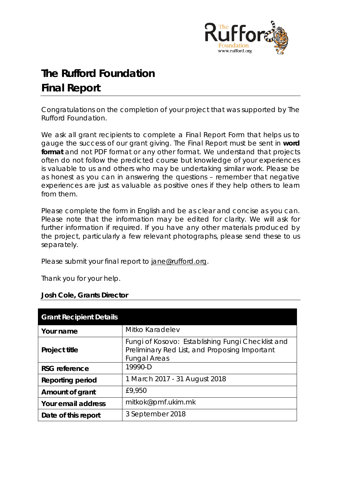

# **The Rufford Foundation Final Report**

Congratulations on the completion of your project that was supported by The Rufford Foundation.

We ask all grant recipients to complete a Final Report Form that helps us to gauge the success of our grant giving. The Final Report must be sent in **word format** and not PDF format or any other format. We understand that projects often do not follow the predicted course but knowledge of your experiences is valuable to us and others who may be undertaking similar work. Please be as honest as you can in answering the questions – remember that negative experiences are just as valuable as positive ones if they help others to learn from them.

Please complete the form in English and be as clear and concise as you can. Please note that the information may be edited for clarity. We will ask for further information if required. If you have any other materials produced by the project, particularly a few relevant photographs, please send these to us separately.

Please submit your final report to [jane@rufford.org.](mailto:jane@rufford.org)

Thank you for your help.

# **Josh Cole, Grants Director**

| <b>Grant Recipient Details</b> |                                                                                                                           |
|--------------------------------|---------------------------------------------------------------------------------------------------------------------------|
| Your name                      | Mitko Karadelev                                                                                                           |
| Project title                  | Fungi of Kosovo: Establishing Fungi Checklist and<br>Preliminary Red List, and Proposing Important<br><b>Fungal Areas</b> |
| <b>RSG</b> reference           | 19990-D                                                                                                                   |
| <b>Reporting period</b>        | 1 March 2017 - 31 August 2018                                                                                             |
| Amount of grant                | £9,950                                                                                                                    |
| Your email address             | mitkok@pmf.ukim.mk                                                                                                        |
| Date of this report            | 3 September 2018                                                                                                          |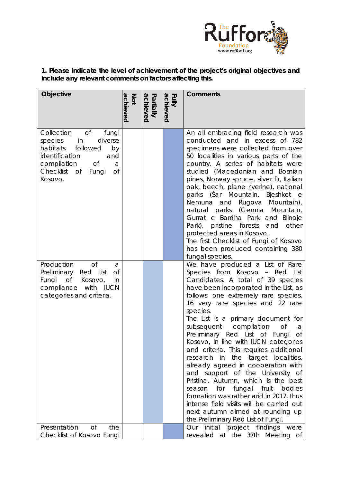

**1. Please indicate the level of achievement of the project's original objectives and include any relevant comments on factors affecting this.** 

| Objective                                                                                                                                                                               | achieved<br>Not | achieved<br>Partially | achieved<br>Fully | <b>Comments</b>                                                                                                                                                                                                                                                                                                                                                                                                                                                                                                                                                                                                                                                                                                                                                                                                     |
|-----------------------------------------------------------------------------------------------------------------------------------------------------------------------------------------|-----------------|-----------------------|-------------------|---------------------------------------------------------------------------------------------------------------------------------------------------------------------------------------------------------------------------------------------------------------------------------------------------------------------------------------------------------------------------------------------------------------------------------------------------------------------------------------------------------------------------------------------------------------------------------------------------------------------------------------------------------------------------------------------------------------------------------------------------------------------------------------------------------------------|
| <b>of</b><br>Collection<br>fungi<br>in<br>diverse<br>species<br>habitats<br>followed<br>by<br>identification<br>and<br>compilation<br>Of<br>a<br>Checklist of<br>Οf<br>Fungi<br>Kosovo. |                 |                       |                   | An all embracing field research was<br>conducted and in excess of 782<br>specimens were collected from over<br>50 localities in various parts of the<br>country. A series of habitats were<br>studied (Macedonian and Bosnian<br>pines, Norway spruce, silver fir, Italian<br>oak, beech, plane riverine), national<br>parks (Šar Mountain, Bjeshket e<br>Nemuna and Rugova Mountain),<br>natural parks (Germia Mountain,<br>Gurrat e Bardha Park and Blinaje<br>Park), pristine forests<br>and<br>other<br>protected areas in Kosovo.<br>The first Checklist of Fungi of Kosovo<br>has been produced containing 380<br>fungal species.                                                                                                                                                                             |
| <b>of</b><br>Production<br>a<br>Preliminary<br>Red List<br><b>of</b><br>$\circ$ of<br>Fungi<br>Kosovo,<br>in<br>compliance with IUCN<br>categories and criteria.                        |                 |                       |                   | We have produced a List of Rare<br>Species from Kosovo - Red List<br>Candidates. A total of 39 species<br>have been incorporated in the List, as<br>follows: one extremely rare species,<br>16 very rare species and 22 rare<br>species.<br>The List is a primary document for<br>subsequent compilation<br><b>of</b><br>a<br>Preliminary Red List of Fungi<br>Оf<br>Kosovo, in line with IUCN categories<br>and criteria. This requires additional<br>research in the target localities,<br>already agreed in cooperation with<br>and support of the University of<br>Pristina. Autumn, which is the best<br>for fungal fruit<br>bodies<br>season<br>formation was rather arid in 2017, thus<br>intense field visits will be carried out<br>next autumn aimed at rounding up<br>the Preliminary Red List of Fungi. |
| Presentation<br><b>of</b><br>the<br>Checklist of Kosovo Fungi                                                                                                                           |                 |                       |                   | initial project findings<br>Our<br>were<br>revealed at the 37th Meeting of                                                                                                                                                                                                                                                                                                                                                                                                                                                                                                                                                                                                                                                                                                                                          |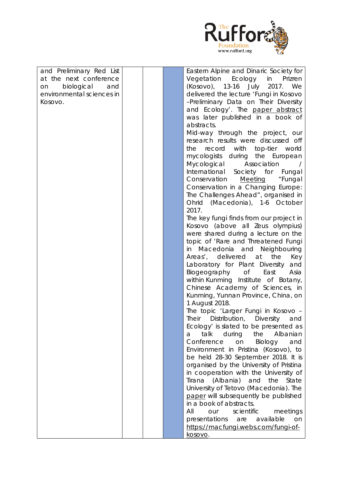

| and Preliminary Red List  |  | Eastern Alpine and Dinaric Society for     |
|---------------------------|--|--------------------------------------------|
| at the next conference    |  | Vegetation<br>Ecology<br>in<br>Prizren     |
| biological<br>and<br>on   |  | (Kosovo), 13-16 July 2017. We              |
| environmental sciences in |  | delivered the lecture 'Fungi in Kosovo     |
| Kosovo.                   |  | -Preliminary Data on Their Diversity       |
|                           |  | and Ecology'. The paper abstract           |
|                           |  | was later published in a book of           |
|                           |  | abstracts.                                 |
|                           |  |                                            |
|                           |  | Mid-way through the project, our           |
|                           |  | research results were discussed off        |
|                           |  | with top-tier world<br>the<br>record       |
|                           |  | mycologists during the European            |
|                           |  | Mycological<br>Association                 |
|                           |  | International Society for Fungal           |
|                           |  | Conservation Meeting<br>"Fungal            |
|                           |  | Conservation in a Changing Europe:         |
|                           |  | The Challenges Ahead", organised in        |
|                           |  | Ohrid (Macedonia), 1-6 October             |
|                           |  | 2017.                                      |
|                           |  | The key fungi finds from our project in    |
|                           |  | Kosovo (above all Zeus olympius)           |
|                           |  | were shared during a lecture on the        |
|                           |  | topic of 'Rare and Threatened Fungi        |
|                           |  | in Macedonia and Neighbouring              |
|                           |  | Areas', delivered at<br>the<br>Key         |
|                           |  | Laboratory for Plant Diversity<br>and      |
|                           |  | Biogeography of<br>East<br>Asia            |
|                           |  | within Kunming Institute of Botany,        |
|                           |  | Chinese Academy of Sciences, in            |
|                           |  | Kunming, Yunnan Province, China, on        |
|                           |  | 1 August 2018.                             |
|                           |  | The topic 'Larger Fungi in Kosovo -        |
|                           |  | Their<br>Distribution,<br>Diversity<br>and |
|                           |  | Ecology' is slated to be presented as      |
|                           |  | talk<br>during<br>the<br>Albanian<br>а     |
|                           |  | Conference<br>Biology<br>on<br>and         |
|                           |  |                                            |
|                           |  | Environment in Pristina (Kosovo), to       |
|                           |  | be held 28-30 September 2018. It is        |
|                           |  | organised by the University of Pristina    |
|                           |  | in cooperation with the University of      |
|                           |  | Tirana (Albania)<br>and<br>State<br>the    |
|                           |  | University of Tetovo (Macedonia). The      |
|                           |  | paper will subsequently be published       |
|                           |  | in a book of abstracts.                    |
|                           |  | scientific<br>All<br>meetings<br>our       |
|                           |  | presentations<br>available<br>are<br>on    |
|                           |  | https://macfungi.webs.com/fungi-of-        |
|                           |  | kosovo.                                    |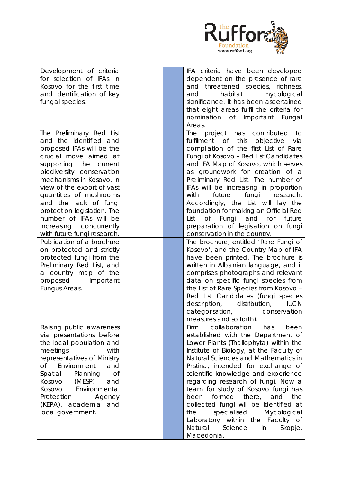

| Development of criteria<br>for selection of IFAs in |  | IFA criteria have been developed<br>dependent on the presence of rare          |
|-----------------------------------------------------|--|--------------------------------------------------------------------------------|
| Kosovo for the first time                           |  | and threatened species, richness,                                              |
| and identification of key                           |  | habitat<br>mycological<br>and<br>significance. It has been ascertained         |
| fungal species.                                     |  | that eight areas fulfil the criteria for                                       |
|                                                     |  | nomination of Important Fungal                                                 |
|                                                     |  | Areas.                                                                         |
| The Preliminary Red List                            |  | The project has contributed<br>to                                              |
| and the identified and                              |  | this<br>fulfilment of<br>objective<br>via                                      |
| proposed IFAs will be the                           |  | compilation of the first List of Rare                                          |
| crucial move aimed at                               |  | Fungi of Kosovo - Red List Candidates<br>and IFA Map of Kosovo, which serves   |
| supporting the current<br>biodiversity conservation |  | as groundwork for creation of a                                                |
| mechanisms in Kosovo, in                            |  | Preliminary Red List. The number of                                            |
| view of the export of vast                          |  | IFAs will be increasing in proportion                                          |
| quantities of mushrooms                             |  | fungi<br>future<br>research.<br>with                                           |
| and the lack of fungi                               |  | Accordingly, the List will lay the                                             |
| protection legislation. The                         |  | foundation for making an Official Red                                          |
| number of IFAs will be                              |  | of Fungi and for<br>future<br>List                                             |
| increasing concurrently                             |  | preparation of legislation on fungi                                            |
| with future fungi research.                         |  | conservation in the country.                                                   |
| Publication of a brochure                           |  | The brochure, entitled 'Rare Fungi of                                          |
| on protected and strictly                           |  | Kosovo', and the Country Map of IFA                                            |
| protected fungi from the                            |  | have been printed. The brochure is                                             |
| Preliminary Red List, and<br>a country map of the   |  | written in Albanian language, and it<br>comprises photographs and relevant     |
| proposed Important                                  |  | data on specific fungi species from                                            |
| Fungus Areas.                                       |  | the List of Rare Species from Kosovo -                                         |
|                                                     |  | Red List Candidates (fungi species                                             |
|                                                     |  | description, distribution, IUCN                                                |
|                                                     |  | categorisation,<br>conservation                                                |
|                                                     |  | measures and so forth).                                                        |
| Raising public awareness                            |  | collaboration<br>has<br>Firm<br>been                                           |
| via presentations before                            |  | established with the Department of                                             |
| the local population and                            |  | Lower Plants (Thallophyta) within the                                          |
| meetings<br>with<br>representatives of Ministry     |  | Institute of Biology, at the Faculty of<br>Natural Sciences and Mathematics in |
| of l<br>Environment<br>and                          |  | Pristina, intended for exchange of                                             |
| <b>of</b><br>Spatial<br>Planning                    |  | scientific knowledge and experience                                            |
| Kosovo<br>(MESP)<br>and                             |  | regarding research of fungi. Now a                                             |
| Kosovo<br>Environmental                             |  | team for study of Kosovo fungi has                                             |
| Protection<br>Agency                                |  | formed there,<br>the<br>been<br>and                                            |
| (KEPA), academia and                                |  | collected fungi will be identified at                                          |
| local government.                                   |  | specialised<br>the<br>Mycological                                              |
|                                                     |  | Laboratory within the Faculty of                                               |
|                                                     |  | Natural<br>Science<br>in<br>Skopje,                                            |
|                                                     |  | Macedonia.                                                                     |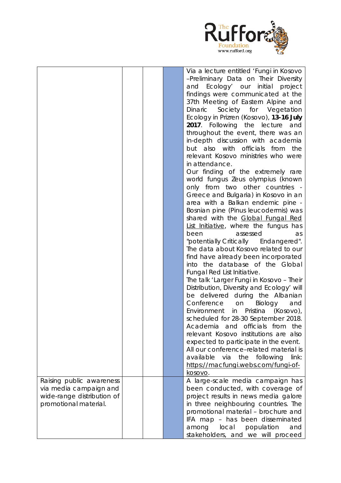

|                            |  | Via a lecture entitled 'Fungi in Kosovo   |
|----------------------------|--|-------------------------------------------|
|                            |  | -Preliminary Data on Their Diversity      |
|                            |  |                                           |
|                            |  | and Ecology' our initial<br>project       |
|                            |  | findings were communicated at the         |
|                            |  | 37th Meeting of Eastern Alpine and        |
|                            |  | Dinaric<br>Society for Vegetation         |
|                            |  | Ecology in Prizren (Kosovo), 13-16 July   |
|                            |  | 2017. Following the lecture<br>and        |
|                            |  | throughout the event, there was an        |
|                            |  |                                           |
|                            |  | in-depth discussion with academia         |
|                            |  | but also with officials from<br>the       |
|                            |  | relevant Kosovo ministries who were       |
|                            |  | in attendance.                            |
|                            |  | Our finding of the extremely rare         |
|                            |  |                                           |
|                            |  | world fungus Zeus olympius (known         |
|                            |  | only from two other countries -           |
|                            |  | Greece and Bulgaria) in Kosovo in an      |
|                            |  | area with a Balkan endemic pine -         |
|                            |  | Bosnian pine (Pinus leucodermis) was      |
|                            |  | shared with the Global Fungal Red         |
|                            |  |                                           |
|                            |  | List Initiative, where the fungus has     |
|                            |  | been<br>assessed<br>as                    |
|                            |  | "potentially Critically Endangered".      |
|                            |  | The data about Kosovo related to our      |
|                            |  | find have already been incorporated       |
|                            |  | into the database of the Global           |
|                            |  | Fungal Red List Initiative.               |
|                            |  |                                           |
|                            |  | The talk 'Larger Fungi in Kosovo - Their  |
|                            |  | Distribution, Diversity and Ecology' will |
|                            |  | be delivered during the Albanian          |
|                            |  | Conference<br>Biology<br>on<br>and        |
|                            |  | in Pristina<br>Environment<br>(Kosovo),   |
|                            |  | scheduled for 28-30 September 2018.       |
|                            |  | Academia and officials from               |
|                            |  | the                                       |
|                            |  | relevant Kosovo institutions are also     |
|                            |  | expected to participate in the event.     |
|                            |  | All our conference-related material is    |
|                            |  | available via the following<br>link:      |
|                            |  | https://macfungi.webs.com/fungi-of-       |
|                            |  |                                           |
|                            |  | <u>kosovo</u> .                           |
| Raising public awareness   |  | A large-scale media campaign has          |
| via media campaign and     |  | been conducted, with coverage of          |
| wide-range distribution of |  | project results in news media galore      |
| promotional material.      |  | in three neighbouring countries. The      |
|                            |  | promotional material - brochure and       |
|                            |  | IFA map - has been disseminated           |
|                            |  |                                           |
|                            |  | local<br>population<br>among<br>and       |
|                            |  | stakeholders, and we will proceed         |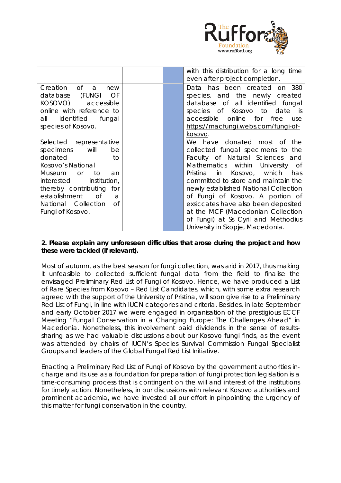

|                                                                                                                                                                                                                                                             |  | with this distribution for a long time<br>even after project completion.                                                                                                                                                                                                                                                                                                                                                                                  |
|-------------------------------------------------------------------------------------------------------------------------------------------------------------------------------------------------------------------------------------------------------------|--|-----------------------------------------------------------------------------------------------------------------------------------------------------------------------------------------------------------------------------------------------------------------------------------------------------------------------------------------------------------------------------------------------------------------------------------------------------------|
| Creation of<br>a<br>new<br>(FUNGI OF<br>database<br>KOSOVO) accessible<br>online with reference to<br>all identified fungal<br>species of Kosovo.                                                                                                           |  | Data has been created on 380<br>species, and the newly created<br>database of all identified fungal<br>species of Kosovo to date is<br>accessible online for<br>free<br>use<br>https://macfungi.webs.com/fungi-of-<br>kosovo.                                                                                                                                                                                                                             |
| Selected representative<br>specimens will<br>be<br>donated<br>to<br>Kosovo's National<br>Museum<br>to<br>$\alpha$<br>an<br>interested institution,<br>thereby contributing for<br>establishment<br>of<br>a<br>National Collection<br>0f<br>Fungi of Kosovo. |  | We have donated most of<br>the<br>collected fungal specimens to the<br>Faculty of Natural Sciences and<br>Mathematics within University of<br>Pristina in Kosovo, which<br>has<br>committed to store and maintain the<br>newly established National Collection<br>of Fungi of Kosovo. A portion of<br>exsiccates have also been deposited<br>at the MCF (Macedonian Collection<br>of Fungi) at Ss Cyril and Methodius<br>University in Skopje, Macedonia. |

## **2. Please explain any unforeseen difficulties that arose during the project and how these were tackled (if relevant).**

Most of autumn, as the best season for fungi collection, was arid in 2017, thus making it unfeasible to collected sufficient fungal data from the field to finalise the envisaged Preliminary Red List of Fungi of Kosovo. Hence, we have produced a List of Rare Species from Kosovo – Red List Candidates, which, with some extra research agreed with the support of the University of Pristina, will soon give rise to a Preliminary Red List of Fungi, in line with IUCN categories and criteria. Besides, in late September and early October 2017 we were engaged in organisation of the prestigious ECCF Meeting "Fungal Conservation in a Changing Europe: The Challenges Ahead" in Macedonia. Nonetheless, this involvement paid dividends in the sense of resultssharing as we had valuable discussions about our Kosovo fungi finds, as the event was attended by chairs of IUCN's Species Survival Commission Fungal Specialist Groups and leaders of the Global Fungal Red List Initiative.

Enacting a Preliminary Red List of Fungi of Kosovo by the government authorities incharge and its use as a foundation for preparation of fungi protection legislation is a time-consuming process that is contingent on the will and interest of the institutions for timely action. Nonetheless, in our discussions with relevant Kosovo authorities and prominent academia, we have invested all our effort in pinpointing the urgency of this matter for fungi conservation in the country.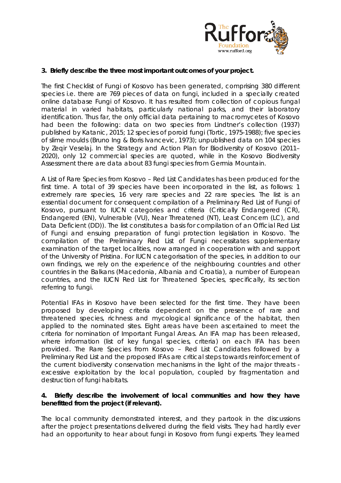

### **3. Briefly describe the three most important outcomes of your project.**

The first Checklist of Fungi of Kosovo has been generated, comprising 380 different species i.e. there are 769 pieces of data on fungi, included in a specially created online database Fungi of Kosovo. It has resulted from collection of copious fungal material in varied habitats, particularly national parks, and their laboratory identification. Thus far, the only official data pertaining to macromycetes of Kosovo had been the following: data on two species from Lindtner's collection (1937) published by Katanic, 2015; 12 species of poroid fungi (Tortic, 1975-1988); five species of slime moulds (Bruno Ing & Boris Ivancevic, 1973); unpublished data on 104 species by Zeqir Veselaj. In the Strategy and Action Plan for Biodiversity of Kosovo (2011– 2020), only 12 commercial species are quoted, while in the Kosovo Biodiversity Assessment there are data about 83 fungi species from Germia Mountain.

A List of Rare Species from Kosovo – Red List Candidates has been produced for the first time. A total of 39 species have been incorporated in the list, as follows: 1 extremely rare species, 16 very rare species and 22 rare species. The list is an essential document for consequent compilation of a Preliminary Red List of Fungi of Kosovo, pursuant to IUCN categories and criteria (Critically Endangered (CR), Endangered (EN), Vulnerable (VU), Near Threatened (NT), Least Concern (LC), and Data Deficient (DD)). The list constitutes a basis for compilation of an Official Red List of Fungi and ensuing preparation of fungi protection legislation in Kosovo. The compilation of the Preliminary Red List of Fungi necessitates supplementary examination of the target localities, now arranged in cooperation with and support of the University of Pristina. For IUCN categorisation of the species, in addition to our own findings, we rely on the experience of the neighbouring countries and other countries in the Balkans (Macedonia, Albania and Croatia), a number of European countries, and the IUCN Red List for Threatened Species, specifically, its section referring to fungi.

Potential IFAs in Kosovo have been selected for the first time. They have been proposed by developing criteria dependent on the presence of rare and threatened species, richness and mycological significance of the habitat, then applied to the nominated sites. Eight areas have been ascertained to meet the criteria for nomination of Important Fungal Areas. An IFA map has been released, where information (list of key fungal species, criteria) on each IFA has been provided. The Rare Species from Kosovo – Red List Candidates followed by a Preliminary Red List and the proposed IFAs are critical steps towards reinforcement of the current biodiversity conservation mechanisms in the light of the major threats excessive exploitation by the local population, coupled by fragmentation and destruction of fungi habitats.

## **4. Briefly describe the involvement of local communities and how they have benefitted from the project (if relevant).**

The local community demonstrated interest, and they partook in the discussions after the project presentations delivered during the field visits. They had hardly ever had an opportunity to hear about fungi in Kosovo from fungi experts. They learned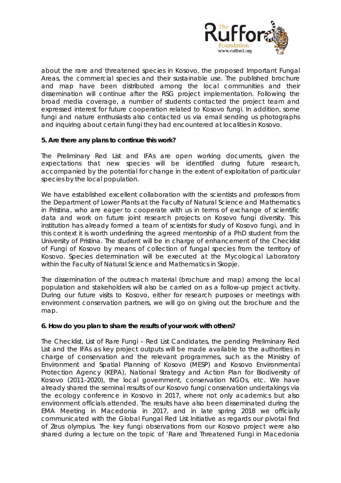

about the rare and threatened species in Kosovo, the proposed Important Fungal Areas, the commercial species and their sustainable use. The published brochure and map have been distributed among the local communities and their dissemination will continue after the RSG project implementation. Following the broad media coverage, a number of students contacted the project team and expressed interest for future cooperation related to Kosovo fungi. In addition, some fungi and nature enthusiasts also contacted us via email sending us photographs and inquiring about certain fungi they had encountered at localities in Kosovo.

## **5. Are there any plans to continue this work?**

The Preliminary Red List and IFAs are open working documents, given the expectations that new species will be identified during future research, accompanied by the potential for change in the extent of exploitation of particular species by the local population.

We have established excellent collaboration with the scientists and professors from the Department of Lower Plants at the Faculty of Natural Science and Mathematics in Pristina, who are eager to cooperate with us in terms of exchange of scientific data and work on future joint research projects on Kosovo fungi diversity. This institution has already formed a team of scientists for study of Kosovo fungi, and in this context it is worth underlining the agreed mentorship of a PhD student from the University of Pristina. The student will be in charge of enhancement of the Checklist of Fungi of Kosovo by means of collection of fungal species from the territory of Kosovo. Species determination will be executed at the Mycological Laboratory within the Faculty of Natural Science and Mathematics in Skopje.

The dissemination of the outreach material (brochure and map) among the local population and stakeholders will also be carried on as a follow-up project activity. During our future visits to Kosovo, either for research purposes or meetings with environment conservation partners, we will go on giving out the brochure and the map.

#### **6. How do you plan to share the results of your work with others?**

The Checklist, List of Rare Fungi – Red List Candidates, the pending Preliminary Red List and the IFAs as key project outputs will be made available to the authorities in charge of conservation and the relevant programmes, such as the Ministry of Environment and Spatial Planning of Kosovo (MESP) and Kosovo Environmental Protection Agency (KEPA), National Strategy and Action Plan for Biodiversity of Kosovo (2011–2020), the local government, conservation NGOs, etc. We have already shared the seminal results of our Kosovo fungi conservation undertakings via the ecology conference in Kosovo in 2017, where not only academics but also environment officials attended. The results have also been disseminated during the EMA Meeting in Macedonia in 2017, and in late spring 2018 we officially communicated with the Global Fungal Red List Initiative as regards our pivotal find of *Zeus olympius*. The key fungi observations from our Kosovo project were also shared during a lecture on the topic of 'Rare and Threatened Fungi in Macedonia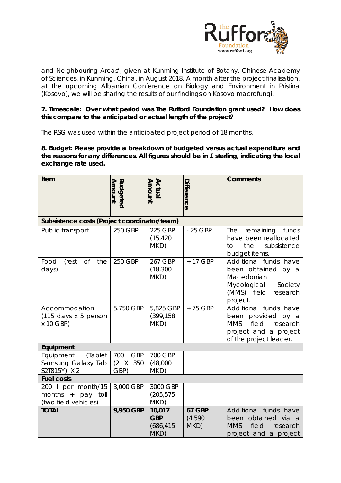

and Neighbouring Areas', given at Kunming Institute of Botany, Chinese Academy of Sciences, in Kunming, China, in August 2018. A month after the project finalisation, at the upcoming Albanian Conference on Biology and Environment in Pristina (Kosovo), we will be sharing the results of our findings on Kosovo macrofungi.

## **7. Timescale: Over what period was The Rufford Foundation grant used? How does this compare to the anticipated or actual length of the project?**

The RSG was used within the anticipated project period of 18 months.

**8. Budget: Please provide a breakdown of budgeted versus actual expenditure and the reasons for any differences. All figures should be in £ sterling, indicating the local exchange rate used.** 

| Item                                                                 | Amount<br><b>Budgeted</b>                     | Actual<br>Amount                           | Difference                       | <b>Comments</b>                                                                                                                         |  |  |  |
|----------------------------------------------------------------------|-----------------------------------------------|--------------------------------------------|----------------------------------|-----------------------------------------------------------------------------------------------------------------------------------------|--|--|--|
| Subsistence costs (Project coordinator/team)                         |                                               |                                            |                                  |                                                                                                                                         |  |  |  |
| Public transport                                                     | 250 GBP                                       | 225 GBP<br>(15, 420)<br>MKD)               | - 25 GBP                         | funds<br>The<br>remaining<br>have been reallocated<br>the<br>subsistence<br>to<br>budget items.                                         |  |  |  |
| $\mathop{\rm {}Of}$<br>Food<br>(rest<br>the<br>days)                 | 250 GBP                                       | 267 GBP<br>(18, 300)<br>MKD)               | + 17 GBP                         | Additional funds have<br>been obtained by a<br>Macedonian<br>Mycological<br>Society<br>(MMS) field<br>research<br>project.              |  |  |  |
| Accommodation<br>(115 days x 5 person<br>x 10 GBP)                   | 5.750 GBP                                     | 5,825 GBP<br>(399, 158)<br>MKD)            | +75 GBP                          | Additional funds have<br>been<br>provided<br>by a<br><b>MMS</b><br>field<br>research<br>project and a project<br>of the project leader. |  |  |  |
| Equipment                                                            |                                               |                                            |                                  |                                                                                                                                         |  |  |  |
| Equipment<br>(Tablet<br>Samsung Galaxy Tab<br>S2T815Y) X 2           | 700<br><b>GBP</b><br>$(2 \times 350)$<br>GBP) | 700 GBP<br>(48,000)<br>MKD)                |                                  |                                                                                                                                         |  |  |  |
| <b>Fuel costs</b>                                                    |                                               |                                            |                                  |                                                                                                                                         |  |  |  |
| 200 l per month/15<br>months $+$<br>pay toll<br>(two field vehicles) | 3,000 GBP                                     | 3000 GBP<br>(205, 575)<br>MKD)             |                                  |                                                                                                                                         |  |  |  |
| <b>TOTAL</b>                                                         | 9,950 GBP                                     | 10,017<br><b>GBP</b><br>(686, 415)<br>MKD) | <b>67 GBP</b><br>(4,590)<br>MKD) | Additional funds have<br>been obtained via a<br><b>MMS</b><br>field<br>research<br>project and a project                                |  |  |  |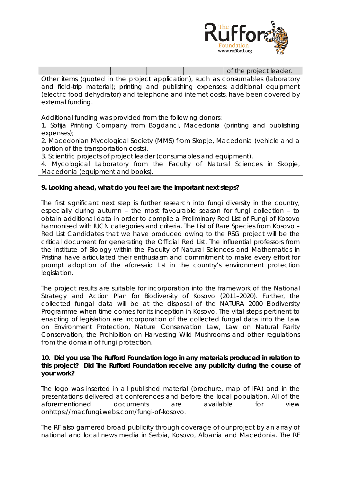

|                                                                                   |  | of the project leader. |  |
|-----------------------------------------------------------------------------------|--|------------------------|--|
| Other items (quoted in the project application), such as consumables (laboratory  |  |                        |  |
| and field-trip material); printing and publishing expenses; additional equipment  |  |                        |  |
| (electric food dehydrator) and telephone and internet costs, have been covered by |  |                        |  |
| external funding.                                                                 |  |                        |  |

Additional funding was provided from the following donors:

1. Sofija Printing Company from Bogdanci, Macedonia (printing and publishing expenses);

2. Macedonian Mycological Society (MMS) from Skopje, Macedonia (vehicle and a portion of the transportation costs).

3. Scientific projects of project leader (consumables and equipment).

4. Mycological Laboratory from the Faculty of Natural Sciences in Skopje, Macedonia (equipment and books).

## **9. Looking ahead, what do you feel are the important next steps?**

The first significant next step is further research into fungi diversity in the country, especially during autumn – the most favourable season for fungi collection – to obtain additional data in order to compile a Preliminary Red List of Fungi of Kosovo harmonised with IUCN categories and criteria. The List of Rare Species from Kosovo – Red List Candidates that we have produced owing to the RSG project will be the critical document for generating the Official Red List. The influential professors from the Institute of Biology within the Faculty of Natural Sciences and Mathematics in Pristina have articulated their enthusiasm and commitment to make every effort for prompt adoption of the aforesaid List in the country's environment protection legislation.

The project results are suitable for incorporation into the framework of the National Strategy and Action Plan for Biodiversity of Kosovo (2011–2020). Further, the collected fungal data will be at the disposal of the NATURA 2000 Biodiversity Programme when time comes for its inception in Kosovo. The vital steps pertinent to enacting of legislation are incorporation of the collected fungal data into the Law on Environment Protection, Nature Conservation Law, Law on Natural Rarity Conservation, the Prohibition on Harvesting Wild Mushrooms and other regulations from the domain of fungi protection.

#### **10. Did you use The Rufford Foundation logo in any materials produced in relation to this project? Did The Rufford Foundation receive any publicity during the course of your work?**

The logo was inserted in all published material (brochure, map of IFA) and in the presentations delivered at conferences and before the local population. All of the aforementioned documents are available for view onhttps://macfungi.webs.com/fungi-of-kosovo.

The RF also garnered broad publicity through coverage of our project by an array of national and local news media in Serbia, Kosovo, Albania and Macedonia. The RF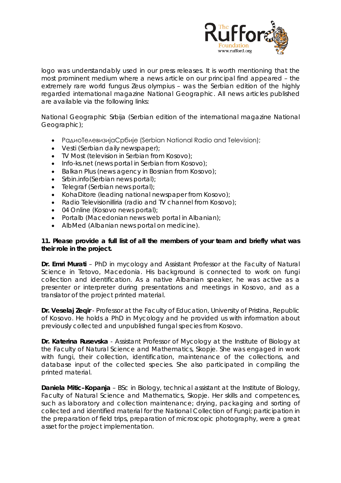

logo was understandably used in our press releases. It is worth mentioning that the most prominent medium where a news article on our principal find appeared – the extremely rare world fungus *Zeus olympius* – was the Serbian edition of the highly regarded international magazine National Geographic. All news articles published are available via the following links:

National Geographic Srbija (Serbian edition of the international magazine National Geographic);

- РадиоТелевизијаСрбије (Serbian National Radio and Television);
- Vesti (Serbian daily newspaper);
- TV Most (television in Serbian from Kosovo);
- Info-ks.net (news portal in Serbian from Kosovo);
- Balkan Plus (news agency in Bosnian from Kosovo);
- Srbin.info(Serbian news portal);
- Telegraf (Serbian news portal);
- KohaDitore (leading national newspaper from Kosovo);
- Radio Televisionilliria (radio and TV channel from Kosovo);
- 04 Online (Kosovo news portal);
- Portalb (Macedonian news web portal in Albanian);
- AlbMed (Albanian news portal on medicine).

## **11. Please provide a full list of all the members of your team and briefly what was their role in the project.**

**Dr. Emri Murati** – PhD in mycology and Assistant Professor at the Faculty of Natural Science in Tetovo, Macedonia. His background is connected to work on fungi collection and identification. As a native Albanian speaker, he was active as a presenter or interpreter during presentations and meetings in Kosovo, and as a translator of the project printed material.

**Dr. Veselaj Zeqir** - Professor at the Faculty of Education, University of Pristina, Republic of Kosovo. He holds a PhD in Mycology and he provided us with information about previously collected and unpublished fungal species from Kosovo.

**Dr. Katerina Rusevska** - Assistant Professor of Mycology at the Institute of Biology at the Faculty of Natural Science and Mathematics, Skopje. She was engaged in work with fungi, their collection, identification, maintenance of the collections, and database input of the collected species. She also participated in compiling the printed material.

**Daniela Mitic–Kopanja** – BSc in Biology, technical assistant at the Institute of Biology, Faculty of Natural Science and Mathematics, Skopje. Her skills and competences, such as laboratory and collection maintenance; drying, packaging and sorting of collected and identified material for the National Collection of Fungi; participation in the preparation of field trips, preparation of microscopic photography, were a great asset for the project implementation.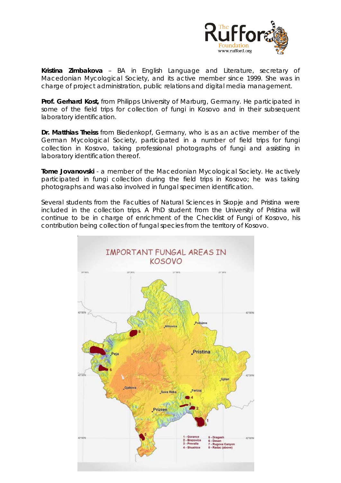

**Kristina Zimbakova** – BA in English Language and Literature, secretary of Macedonian Mycological Society, and its active member since 1999. She was in charge of project administration, public relations and digital media management.

**Prof. Gerhard Kost,** from Philipps University of Marburg, Germany. He participated in some of the field trips for collection of fungi in Kosovo and in their subsequent laboratory identification.

**Dr. Matthias Theiss** from Biedenkopf, Germany, who is as an active member of the German Mycological Society, participated in a number of field trips for fungi collection in Kosovo, taking professional photographs of fungi and assisting in laboratory identification thereof.

**Tome Jovanovski** - a member of the Macedonian Mycological Society. He actively participated in fungi collection during the field trips in Kosovo; he was taking photographs and was also involved in fungal specimen identification.

Several students from the Faculties of Natural Sciences in Skopje and Pristina were included in the collection trips. A PhD student from the University of Pristina will continue to be in charge of enrichment of the Checklist of Fungi of Kosovo, his contribution being collection of fungal species from the territory of Kosovo.